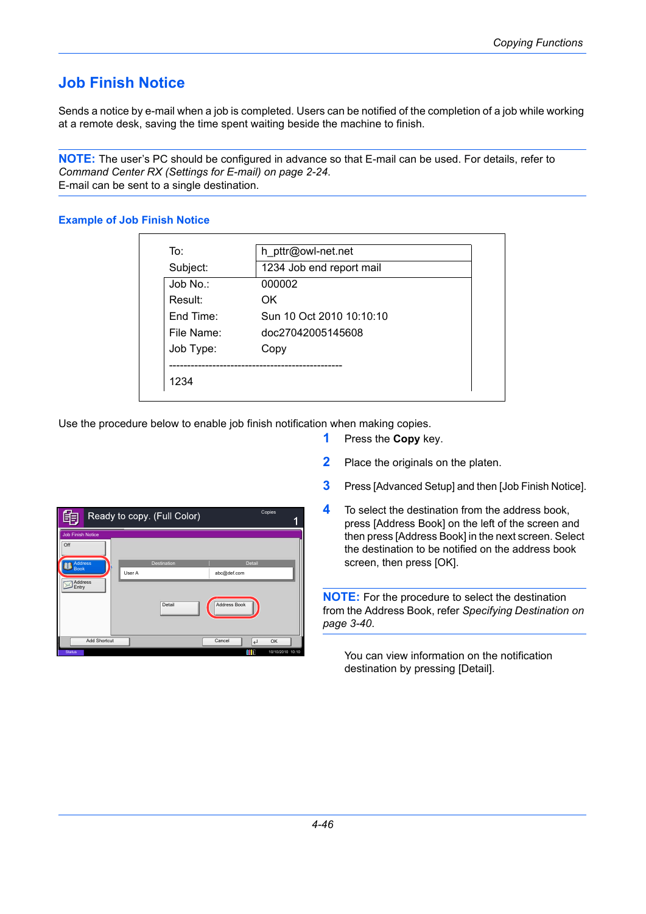## **Job Finish Notice**

Sends a notice by e-mail when a job is completed. Users can be notified of the completion of a job while working at a remote desk, saving the time spent waiting beside the machine to finish.

**NOTE:** The user's PC should be configured in advance so that E-mail can be used. For details, refer to *[Command Center RX \(Settings for E-mail\) on page 2-24](#page--1-0)*. E-mail can be sent to a single destination.

## **Example of Job Finish Notice**

**Status** 

Add Shortcut

Job Finish Notice

Off

| To:        | h_pttr@owl-net.net       |  |
|------------|--------------------------|--|
| Subject:   | 1234 Job end report mail |  |
| Job No.:   | 000002                   |  |
| Result:    | OK.                      |  |
| End Time:  | Sun 10 Oct 2010 10:10:10 |  |
| File Name: | doc27042005145608        |  |
| Job Type:  | Copy                     |  |

Use the procedure below to enable job finish notification when making copies.

- **1** Press the **Copy** key.
- **2** Place the originals on the platen.
- **3** Press [Advanced Setup] and then [Job Finish Notice].

| ī                             | Copies<br>Ready to copy. (Full Color) |        |                    |                     |  | To select the<br>press [Addr |                                              |  |
|-------------------------------|---------------------------------------|--------|--------------------|---------------------|--|------------------------------|----------------------------------------------|--|
| Address                       | inish Notice                          |        | <b>Destination</b> | <b>Detail</b>       |  |                              | then press [<br>the destinat<br>screen, thei |  |
| <b>Book</b><br><b>Address</b> |                                       | User A |                    | abc@def.com         |  |                              |                                              |  |
| Entrv                         |                                       |        | Detail             | <b>Address Book</b> |  | page 3-40.                   | <b>NOTE:</b> For the<br>from the Addres      |  |

Cancel 4 OK

10/10/2010 10:10

**4** A destination from the address book, ress Book] on the left of the screen and [Address Book] in the next screen. Select tion to be notified on the address book n press [OK].

procedure to select the destination  $s$ s Book, refer *Specifying Destination on* 

You can view information on the notification destination by pressing [Detail].